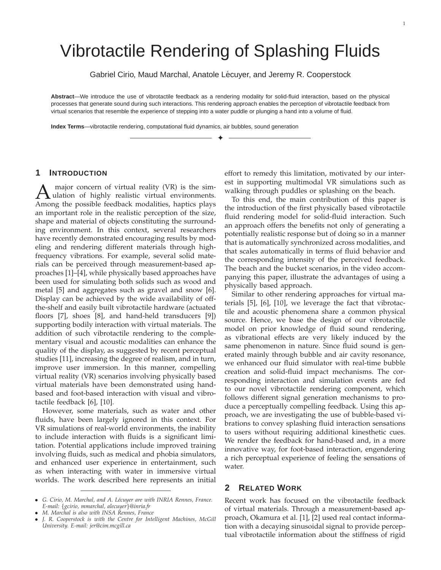# Vibrotactile Rendering of Splashing Fluids

Gabriel Cirio, Maud Marchal, Anatole Lécuyer, and Jeremy R. Cooperstock

**Abstract**—We introduce the use of vibrotactile feedback as a rendering modality for solid-fluid interaction, based on the physical processes that generate sound during such interactions. This rendering approach enables the perception of vibrotactile feedback from virtual scenarios that resemble the experience of stepping into a water puddle or plunging a hand into a volume of fluid.

✦

**Index Terms**—vibrotactile rendering, computational fluid dynamics, air bubbles, sound generation

## **1 INTRODUCTION**

A major concern of virtual reality (VR) is the simulation of highly realistic virtual environments.<br>Among the possible feedback modalities, haptics plays major concern of virtual reality (VR) is the simulation of highly realistic virtual environments. an important role in the realistic perception of the size, shape and material of objects constituting the surrounding environment. In this context, several researchers have recently demonstrated encouraging results by modeling and rendering different materials through highfrequency vibrations. For example, several solid materials can be perceived through measurement-based approaches [1]–[4], while physically based approaches have been used for simulating both solids such as wood and metal [5] and aggregates such as gravel and snow [6]. Display can be achieved by the wide availability of offthe-shelf and easily built vibrotactile hardware (actuated floors [7], shoes [8], and hand-held transducers [9]) supporting bodily interaction with virtual materials. The addition of such vibrotactile rendering to the complementary visual and acoustic modalities can enhance the quality of the display, as suggested by recent perceptual studies [11], increasing the degree of realism, and in turn, improve user immersion. In this manner, compelling virtual reality (VR) scenarios involving physically based virtual materials have been demonstrated using handbased and foot-based interaction with visual and vibrotactile feedback [6], [10].

However, some materials, such as water and other fluids, have been largely ignored in this context. For VR simulations of real-world environments, the inability to include interaction with fluids is a significant limitation. Potential applications include improved training involving fluids, such as medical and phobia simulators, and enhanced user experience in entertainment, such as when interacting with water in immersive virtual worlds. The work described here represents an initial effort to remedy this limitation, motivated by our interest in supporting multimodal VR simulations such as walking through puddles or splashing on the beach.

To this end, the main contribution of this paper is the introduction of the first physically based vibrotactile fluid rendering model for solid-fluid interaction. Such an approach offers the benefits not only of generating a potentially realistic response but of doing so in a manner that is automatically synchronized across modalities, and that scales automatically in terms of fluid behavior and the corresponding intensity of the perceived feedback. The beach and the bucket scenarios, in the video accompanying this paper, illustrate the advantages of using a physically based approach.

Similar to other rendering approaches for virtual materials [5], [6], [10], we leverage the fact that vibrotactile and acoustic phenomena share a common physical source. Hence, we base the design of our vibrotactile model on prior knowledge of fluid sound rendering, as vibrational effects are very likely induced by the same phenomenon in nature. Since fluid sound is generated mainly through bubble and air cavity resonance, we enhanced our fluid simulator with real-time bubble creation and solid-fluid impact mechanisms. The corresponding interaction and simulation events are fed to our novel vibrotactile rendering component, which follows different signal generation mechanisms to produce a perceptually compelling feedback. Using this approach, we are investigating the use of bubble-based vibrations to convey splashing fluid interaction sensations to users without requiring additional kinesthetic cues. We render the feedback for hand-based and, in a more innovative way, for foot-based interaction, engendering a rich perceptual experience of feeling the sensations of water.

# **2 RELATED WORK**

Recent work has focused on the vibrotactile feedback of virtual materials. Through a measurement-based approach, Okamura et al. [1], [2] used real contact information with a decaying sinusoidal signal to provide perceptual vibrotactile information about the stiffness of rigid

<sup>•</sup> *G. Cirio, M. Marchal, and A. L´ecuyer are with INRIA Rennes, France. E-mail:* {*gcirio, mmarchal, alecuyer*}*@inria.fr*

<sup>•</sup> *M. Marchal is also with INSA Rennes, France*

<sup>•</sup> *J. R. Cooperstock is with the Centre for Intelligent Machines, McGill University. E-mail: jer@cim.mcgill.ca*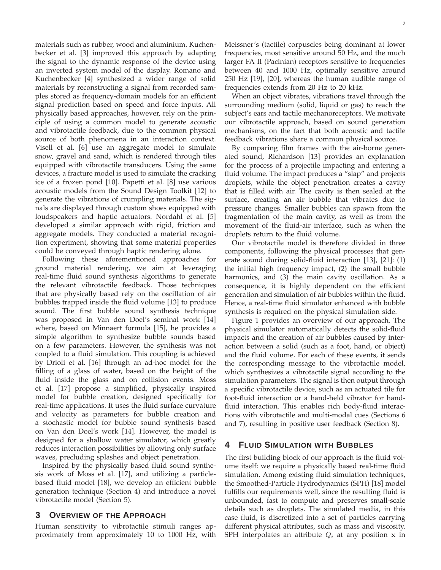materials such as rubber, wood and aluminium. Kuchenbecker et al. [3] improved this approach by adapting the signal to the dynamic response of the device using an inverted system model of the display. Romano and Kuchenbecker [4] synthesized a wider range of solid materials by reconstructing a signal from recorded samples stored as frequency-domain models for an efficient signal prediction based on speed and force inputs. All physically based approaches, however, rely on the principle of using a common model to generate acoustic and vibrotactile feedback, due to the common physical source of both phenomena in an interaction context. Visell et al. [6] use an aggregate model to simulate snow, gravel and sand, which is rendered through tiles equipped with vibrotactile transducers. Using the same devices, a fracture model is used to simulate the cracking ice of a frozen pond [10]. Papetti et al. [8] use various acoustic models from the Sound Design Toolkit [12] to generate the vibrations of crumpling materials. The signals are displayed through custom shoes equipped with loudspeakers and haptic actuators. Nordahl et al. [5] developed a similar approach with rigid, friction and aggregate models. They conducted a material recognition experiment, showing that some material properties could be conveyed through haptic rendering alone.

Following these aforementioned approaches for ground material rendering, we aim at leveraging real-time fluid sound synthesis algorithms to generate the relevant vibrotactile feedback. Those techniques that are physically based rely on the oscillation of air bubbles trapped inside the fluid volume [13] to produce sound. The first bubble sound synthesis technique was proposed in Van den Doel's seminal work [14] where, based on Minnaert formula [15], he provides a simple algorithm to synthesize bubble sounds based on a few parameters. However, the synthesis was not coupled to a fluid simulation. This coupling is achieved by Drioli et al. [16] through an ad-hoc model for the filling of a glass of water, based on the height of the fluid inside the glass and on collision events. Moss et al. [17] propose a simplified, physically inspired model for bubble creation, designed specifically for real-time applications. It uses the fluid surface curvature and velocity as parameters for bubble creation and a stochastic model for bubble sound synthesis based on Van den Doel's work [14]. However, the model is designed for a shallow water simulator, which greatly reduces interaction possibilities by allowing only surface waves, precluding splashes and object penetration.

Inspired by the physically based fluid sound synthesis work of Moss et al. [17], and utilizing a particlebased fluid model [18], we develop an efficient bubble generation technique (Section 4) and introduce a novel vibrotactile model (Section 5).

# **3 OVERVIEW OF THE APPROACH**

Human sensitivity to vibrotactile stimuli ranges approximately from approximately 10 to 1000 Hz, with Meissner's (tactile) corpuscles being dominant at lower frequencies, most sensitive around 50 Hz, and the much larger FA II (Pacinian) receptors sensitive to frequencies between 40 and 1000 Hz, optimally sensitive around 250 Hz [19], [20], whereas the human audible range of frequencies extends from 20 Hz to 20 kHz.

When an object vibrates, vibrations travel through the surrounding medium (solid, liquid or gas) to reach the subject's ears and tactile mechanoreceptors. We motivate our vibrotactile approach, based on sound generation mechanisms, on the fact that both acoustic and tactile feedback vibrations share a common physical source.

By comparing film frames with the air-borne generated sound, Richardson [13] provides an explanation for the process of a projectile impacting and entering a fluid volume. The impact produces a "slap" and projects droplets, while the object penetration creates a cavity that is filled with air. The cavity is then sealed at the surface, creating an air bubble that vibrates due to pressure changes. Smaller bubbles can spawn from the fragmentation of the main cavity, as well as from the movement of the fluid-air interface, such as when the droplets return to the fluid volume.

Our vibrotactile model is therefore divided in three components, following the physical processes that generate sound during solid-fluid interaction [13], [21]: (1) the initial high frequency impact, (2) the small bubble harmonics, and (3) the main cavity oscillation. As a consequence, it is highly dependent on the efficient generation and simulation of air bubbles within the fluid. Hence, a real-time fluid simulator enhanced with bubble synthesis is required on the physical simulation side.

Figure 1 provides an overview of our approach. The physical simulator automatically detects the solid-fluid impacts and the creation of air bubbles caused by interaction between a solid (such as a foot, hand, or object) and the fluid volume. For each of these events, it sends the corresponding message to the vibrotactile model, which synthesizes a vibrotactile signal according to the simulation parameters. The signal is then output through a specific vibrotactile device, such as an actuated tile for foot-fluid interaction or a hand-held vibrator for handfluid interaction. This enables rich body-fluid interactions with vibrotactile and multi-modal cues (Sections 6 and 7), resulting in positive user feedback (Section 8).

# **4 FLUID SIMULATION WITH BUBBLES**

The first building block of our approach is the fluid volume itself: we require a physically based real-time fluid simulation. Among existing fluid simulation techniques, the Smoothed-Particle Hydrodynamics (SPH) [18] model fulfills our requirements well, since the resulting fluid is unbounded, fast to compute and preserves small-scale details such as droplets. The simulated media, in this case fluid, is discretized into a set of particles carrying different physical attributes, such as mass and viscosity. SPH interpolates an attribute  $Q_i$  at any position x in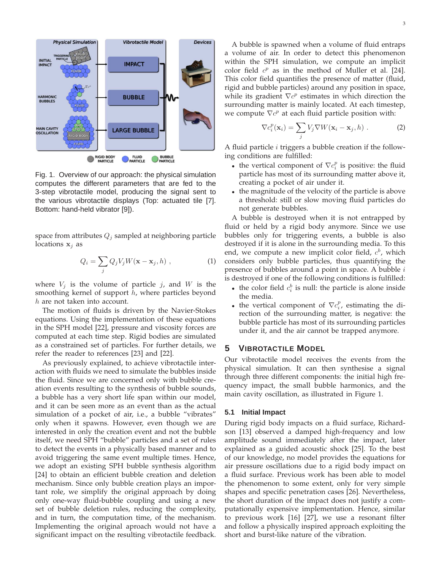

Fig. 1. Overview of our approach: the physical simulation computes the different parameters that are fed to the 3-step vibrotactile model, producing the signal sent to the various vibrotactile displays (Top: actuated tile [7]. Bottom: hand-held vibrator [9]).

space from attributes  $Q_i$  sampled at neighboring particle locations  $x_j$  as

$$
Q_i = \sum_j Q_j V_j W(\mathbf{x} - \mathbf{x}_j, h) , \qquad (1)
$$

where  $V_j$  is the volume of particle j, and W is the smoothing kernel of support  $h$ , where particles beyond h are not taken into account.

The motion of fluids is driven by the Navier-Stokes equations. Using the implementation of these equations in the SPH model [22], pressure and viscosity forces are computed at each time step. Rigid bodies are simulated as a constrained set of particles. For further details, we refer the reader to references [23] and [22].

As previously explained, to achieve vibrotactile interaction with fluids we need to simulate the bubbles inside the fluid. Since we are concerned only with bubble creation events resulting to the synthesis of bubble sounds, a bubble has a very short life span within our model, and it can be seen more as an event than as the actual simulation of a pocket of air, i.e., a bubble "vibrates" only when it spawns. However, even though we are interested in only the creation event and not the bubble itself, we need SPH "bubble" particles and a set of rules to detect the events in a physically based manner and to avoid triggering the same event multiple times. Hence, we adopt an existing SPH bubble synthesis algorithm [24] to obtain an efficient bubble creation and deletion mechanism. Since only bubble creation plays an important role, we simplify the original approach by doing only one-way fluid-bubble coupling and using a new set of bubble deletion rules, reducing the complexity, and in turn, the computation time, of the mechanism. Implementing the original aproach would not have a significant impact on the resulting vibrotactile feedback.

A bubble is spawned when a volume of fluid entraps a volume of air. In order to detect this phenomenon within the SPH simulation, we compute an implicit color field  $c^p$  as in the method of Muller et al. [24]. This color field quantifies the presence of matter (fluid, rigid and bubble particles) around any position in space, while its gradient  $\nabla c^p$  estimates in which direction the surrounding matter is mainly located. At each timestep, we compute  $\nabla c^p$  at each fluid particle position with:

$$
\nabla c_i^p(\mathbf{x}_i) = \sum_j V_j \nabla W(\mathbf{x}_i - \mathbf{x}_j, h) . \tag{2}
$$

A fluid particle  $i$  triggers a bubble creation if the following conditions are fulfilled:

- the vertical component of  $\nabla c_i^p$  is positive: the fluid particle has most of its surrounding matter above it, creating a pocket of air under it.
- the magnitude of the velocity of the particle is above a threshold: still or slow moving fluid particles do not generate bubbles.

A bubble is destroyed when it is not entrapped by fluid or held by a rigid body anymore. Since we use bubbles only for triggering events, a bubble is also destroyed if it is alone in the surrounding media. To this end, we compute a new implicit color field,  $c<sup>b</sup>$ , which considers only bubble particles, thus quantifying the presence of bubbles around a point in space. A bubble  $i$ is destroyed if one of the following conditions is fulfilled:

- the color field  $c_i^b$  is null: the particle is alone inside the media.
- the vertical component of  $\nabla c_i^p$ , estimating the direction of the surrounding matter, is negative: the bubble particle has most of its surrounding particles under it, and the air cannot be trapped anymore.

# **5 VIBROTACTILE MODEL**

Our vibrotactile model receives the events from the physical simulation. It can then synthesise a signal through three different components: the initial high frequency impact, the small bubble harmonics, and the main cavity oscillation, as illustrated in Figure 1.

## **5.1 Initial Impact**

During rigid body impacts on a fluid surface, Richardson [13] observed a damped high-frequency and low amplitude sound immediately after the impact, later explained as a guided acoustic shock [25]. To the best of our knowledge, no model provides the equations for air pressure oscillations due to a rigid body impact on a fluid surface. Previous work has been able to model the phenomenon to some extent, only for very simple shapes and specific penetration cases [26]. Nevertheless, the short duration of the impact does not justify a computationally expensive implementation. Hence, similar to previous work [16] [27], we use a resonant filter and follow a physically inspired approach exploiting the short and burst-like nature of the vibration.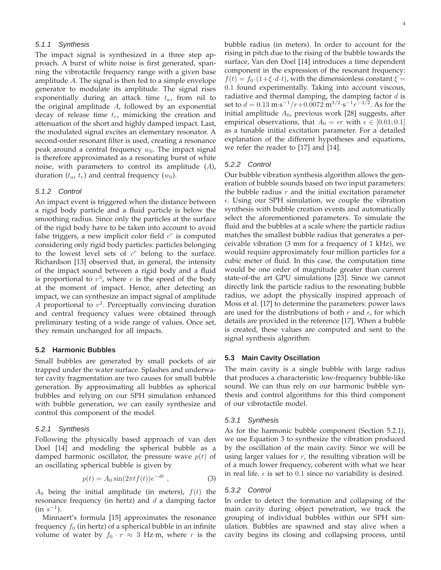#### 5.1.1 Synthesis

The impact signal is synthesized in a three step approach. A burst of white noise is first generated, spanning the vibrotactile frequency range with a given base amplitude A. The signal is then fed to a simple envelope generator to modulate its amplitude. The signal rises exponentially during an attack time  $t_a$ , from nil to the original amplitude A, followed by an exponential decay of release time  $t_r$ , mimicking the creation and attenuation of the short and highly damped impact. Last, the modulated signal excites an elementary resonator. A second-order resonant filter is used, creating a resonance peak around a central frequency  $w_0$ . The impact signal is therefore approximated as a resonating burst of white noise, with parameters to control its amplitude  $(A)$ , duration  $(t_a, t_r)$  and central frequency  $(w_0)$ .

#### 5.1.2 Control

An impact event is triggered when the distance between a rigid body particle and a fluid particle is below the smoothing radius. Since only the particles at the surface of the rigid body have to be taken into account to avoid false triggers, a new implicit color field  $c<sup>r</sup>$  is computed considering only rigid body particles: particles belonging to the lowest level sets of  $c<sup>r</sup>$  belong to the surface. Richardson [13] observed that, in general, the intensity of the impact sound between a rigid body and a fluid is proportional to  $v^3$ , where v is the speed of the body at the moment of impact. Hence, after detecting an impact, we can synthesize an impact signal of amplitude A proportional to  $v^3$ . Perceptually convincing duration and central frequency values were obtained through preliminary testing of a wide range of values. Once set, they remain unchanged for all impacts.

#### **5.2 Harmonic Bubbles**

Small bubbles are generated by small pockets of air trapped under the water surface. Splashes and underwater cavity fragmentation are two causes for small bubble generation. By approximating all bubbles as spherical bubbles and relying on our SPH simulation enhanced with bubble generation, we can easily synthesize and control this component of the model.

## 5.2.1 Synthesis

Following the physically based approach of van den Doel [14] and modeling the spherical bubble as a damped harmonic oscillator, the pressure wave  $p(t)$  of an oscillating spherical bubble is given by

$$
p(t) = A_0 \sin(2\pi t f(t))e^{-dt}, \qquad (3)
$$

 $A_0$  being the initial amplitude (in meters),  $f(t)$  the resonance frequency (in hertz) and  $d$  a damping factor  $(in s<sup>-1</sup>).$ 

Minnaert's formula [15] approximates the resonance frequency  $f_0$  (in hertz) of a spherical bubble in an infinite volume of water by  $f_0 \cdot r \approx 3$  Hz·m, where r is the bubble radius (in meters). In order to account for the rising in pitch due to the rising of the bubble towards the surface, Van den Doel [14] introduces a time dependent component in the expression of the resonant frequency:  $f(t) = f_0 \cdot (1 + \xi \cdot d \cdot t)$ , with the dimensionless constant  $\xi =$ 0.1 found experimentally. Taking into account viscous, radiative and thermal damping, the damping factor  $d$  is set to  $d = 0.13 \text{ m} \cdot \text{s}^{-1} / r + 0.0072 \text{ m}^{3/2} \cdot \text{s}^{-1} r^{-3/2}$ . As for the initial amplitude  $A_0$ , previous work [28] suggests, after empirical observations, that  $A_0 = \epsilon r$  with  $\epsilon \in [0.01; 0.1]$ as a tunable initial excitation parameter. For a detailed explanation of the different hypotheses and equations, we refer the reader to [17] and [14].

## 5.2.2 Control

Our bubble vibration synthesis algorithm allows the generation of bubble sounds based on two input parameters: the bubble radius  $r$  and the initial excitation parameter  $\epsilon$ . Using our SPH simulation, we couple the vibration synthesis with bubble creation events and automatically select the aforementioned parameters. To simulate the fluid and the bubbles at a scale where the particle radius matches the smallest bubble radius that generates a perceivable vibration (3 mm for a frequency of 1 kHz), we would require approximately four million particles for a cubic meter of fluid. In this case, the computation time would be one order of magnitude greater than current state-of-the art GPU simulations [23]. Since we cannot directly link the particle radius to the resonating bubble radius, we adopt the physically inspired approach of Moss et al. [17] to determine the parameters: power laws are used for the distributions of both  $r$  and  $\epsilon$ , for which details are provided in the reference [17]. When a bubble is created, these values are computed and sent to the signal synthesis algorithm.

#### **5.3 Main Cavity Oscillation**

The main cavity is a single bubble with large radius that produces a characteristic low-frequency bubble-like sound. We can thus rely on our harmonic bubble synthesis and control algorithms for this third component of our vibrotactile model.

## 5.3.1 Synthesis

As for the harmonic bubble component (Section 5.2.1), we use Equation 3 to synthesize the vibration produced by the oscillation of the main cavity. Since we will be using larger values for  $r$ , the resulting vibration will be of a much lower frequency, coherent with what we hear in real life.  $\epsilon$  is set to 0.1 since no variability is desired.

## 5.3.2 Control

In order to detect the formation and collapsing of the main cavity during object penetration, we track the grouping of individual bubbles within our SPH simulation. Bubbles are spawned and stay alive when a cavity begins its closing and collapsing process, until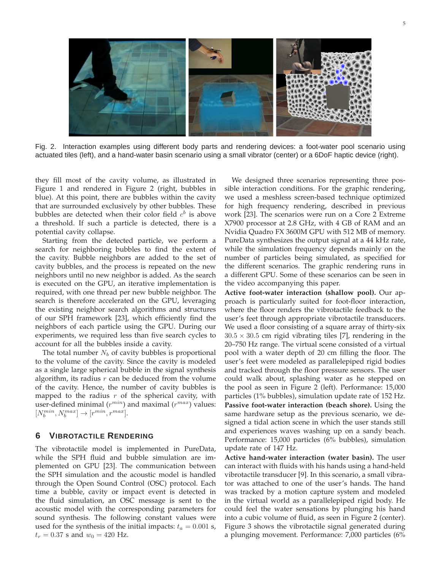

Fig. 2. Interaction examples using different body parts and rendering devices: a foot-water pool scenario using actuated tiles (left), and a hand-water basin scenario using a small vibrator (center) or a 6DoF haptic device (right).

they fill most of the cavity volume, as illustrated in Figure 1 and rendered in Figure 2 (right, bubbles in blue). At this point, there are bubbles within the cavity that are surrounded exclusively by other bubbles. These bubbles are detected when their color field  $c^b$  is above a threshold. If such a particle is detected, there is a potential cavity collapse.

Starting from the detected particle, we perform a search for neighboring bubbles to find the extent of the cavity. Bubble neighbors are added to the set of cavity bubbles, and the process is repeated on the new neighbors until no new neighbor is added. As the search is executed on the GPU, an iterative implementation is required, with one thread per new bubble neighbor. The search is therefore accelerated on the GPU, leveraging the existing neighbor search algorithms and structures of our SPH framework [23], which efficiently find the neighbors of each particle using the GPU. During our experiments, we required less than five search cycles to account for all the bubbles inside a cavity.

The total number  $N_b$  of cavity bubbles is proportional to the volume of the cavity. Since the cavity is modeled as a single large spherical bubble in the signal synthesis algorithm, its radius  $r$  can be deduced from the volume of the cavity. Hence, the number of cavity bubbles is mapped to the radius  $r$  of the spherical cavity, with user-defined minimal  $(r^{min})$  and maximal  $(r^{max})$  values:  $[N_b^{min},N_b^{max}]\rightarrow [r^{min},r^{max}].$ 

# **6 VIBROTACTILE RENDERING**

The vibrotactile model is implemented in PureData, while the SPH fluid and bubble simulation are implemented on GPU [23]. The communication between the SPH simulation and the acoustic model is handled through the Open Sound Control (OSC) protocol. Each time a bubble, cavity or impact event is detected in the fluid simulation, an OSC message is sent to the acoustic model with the corresponding parameters for sound synthesis. The following constant values were used for the synthesis of the initial impacts:  $t_a = 0.001$  s,  $t_r = 0.37$  s and  $w_0 = 420$  Hz.

We designed three scenarios representing three possible interaction conditions. For the graphic rendering, we used a meshless screen-based technique optimized for high frequency rendering, described in previous work [23]. The scenarios were run on a Core 2 Extreme X7900 processor at 2.8 GHz, with 4 GB of RAM and an Nvidia Quadro FX 3600M GPU with 512 MB of memory. PureData synthesizes the output signal at a 44 kHz rate, while the simulation frequency depends mainly on the number of particles being simulated, as specified for the different scenarios. The graphic rendering runs in a different GPU. Some of these scenarios can be seen in the video accompanying this paper.

**Active foot-water interaction (shallow pool).** Our approach is particularly suited for foot-floor interaction, where the floor renders the vibrotactile feedback to the user's feet through appropriate vibrotactile transducers. We used a floor consisting of a square array of thirty-six  $30.5 \times 30.5$  cm rigid vibrating tiles [7], rendering in the 20–750 Hz range. The virtual scene consisted of a virtual pool with a water depth of 20 cm filling the floor. The user's feet were modeled as parallelepiped rigid bodies and tracked through the floor pressure sensors. The user could walk about, splashing water as he stepped on the pool as seen in Figure 2 (left). Performance: 15,000 particles (1% bubbles), simulation update rate of 152 Hz. **Passive foot-water interaction (beach shore).** Using the same hardware setup as the previous scenario, we designed a tidal action scene in which the user stands still and experiences waves washing up on a sandy beach. Performance: 15,000 particles (6% bubbles), simulation update rate of 147 Hz.

**Active hand-water interaction (water basin).** The user can interact with fluids with his hands using a hand-held vibrotactile transducer [9]. In this scenario, a small vibrator was attached to one of the user's hands. The hand was tracked by a motion capture system and modeled in the virtual world as a parallelepiped rigid body. He could feel the water sensations by plunging his hand into a cubic volume of fluid, as seen in Figure 2 (center). Figure 3 shows the vibrotactile signal generated during a plunging movement. Performance: 7,000 particles (6%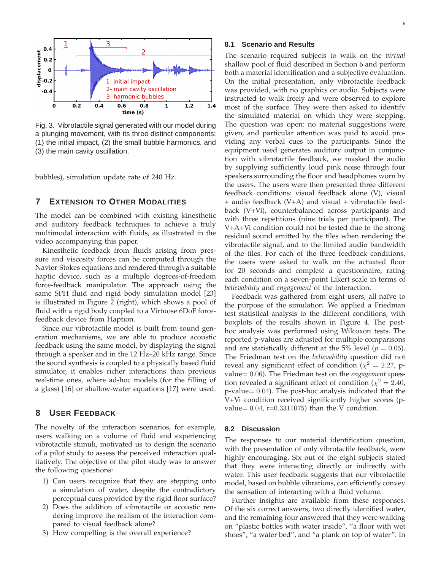

Fig. 3. Vibrotactile signal generated with our model during a plunging movement, with its three distinct components: (1) the initial impact, (2) the small bubble harmonics, and (3) the main cavity oscillation.

bubbles), simulation update rate of 240 Hz.

# **7 EXTENSION TO OTHER MODALITIES**

The model can be combined with existing kinesthetic and auditory feedback techniques to achieve a truly multimodal interaction with fluids, as illustrated in the video accompanying this paper.

Kinesthetic feedback from fluids arising from pressure and viscosity forces can be computed through the Navier-Stokes equations and rendered through a suitable haptic device, such as a multiple degrees-of-freedom force-feedback manipulator. The approach using the same SPH fluid and rigid body simulation model [23] is illustrated in Figure 2 (right), which shows a pool of fluid with a rigid body coupled to a Virtuose 6DoF forcefeedback device from Haption.

Since our vibrotactile model is built from sound generation mechanisms, we are able to produce acoustic feedback using the same model, by displaying the signal through a speaker and in the 12 Hz–20 kHz range. Since the sound synthesis is coupled to a physically based fluid simulator, it enables richer interactions than previous real-time ones, where ad-hoc models (for the filling of a glass) [16] or shallow-water equations [17] were used.

# **8 USER FEEDBACK**

The novelty of the interaction scenarios, for example, users walking on a volume of fluid and experiencing vibrotactile stimuli, motivated us to design the scenario of a pilot study to assess the perceived interaction qualitatively. The objective of the pilot study was to answer the following questions:

- 1) Can users recognize that they are stepping onto a simulation of water, despite the contradictory perceptual cues provided by the rigid floor surface?
- 2) Does the addition of vibrotactile or acoustic rendering improve the realism of the interaction compared to visual feedback alone?
- 3) How compelling is the overall experience?

## **8.1 Scenario and Results**

The scenario required subjects to walk on the *virtual* shallow pool of fluid described in Section 6 and perform both a material identification and a subjective evaluation. On the initial presentation, only vibrotactile feedback was provided, with no graphics or audio. Subjects were instructed to walk freely and were observed to explore most of the surface. They were then asked to identify the simulated material on which they were stepping. The question was open: no material suggestions were given, and particular attention was paid to avoid providing any verbal cues to the participants. Since the equipment used generates auditory output in conjunction with vibrotactile feedback, we masked the audio by supplying sufficiently loud pink noise through four speakers surrounding the floor and headphones worn by the users. The users were then presented three different feedback conditions: visual feedback alone (V), visual + audio feedback (V+A) and visual + vibrotactile feedback (V+Vi), counterbalanced across participants and with three repetitions (nine trials per participant). The V+A+Vi condition could not be tested due to the strong residual sound emitted by the tiles when rendering the vibrotactile signal, and to the limited audio bandwidth of the tiles. For each of the three feedback conditions, the users were asked to walk on the actuated floor for 20 seconds and complete a questionnaire, rating each condition on a seven-point Likert scale in terms of *believability* and *engagement* of the interaction.

Feedback was gathered from eight users, all naïve to the purpose of the simulation. We applied a Friedman test statistical analysis to the different conditions, with boxplots of the results shown in Figure 4. The posthoc analysis was performed using Wilcoxon tests. The reported p-values are adjusted for multiple comparisons and are statistically different at the 5% level ( $p = 0.05$ ). The Friedman test on the *believability* question did not reveal any significant effect of condition ( $\chi^2 = 2.27$ , pvalue= 0.06). The Friedman test on the *engagement* question revealed a significant effect of condition ( $\chi^2 = 2.40$ , p-value= 0.04). The post-hoc analysis indicated that the V+Vi condition received significantly higher scores (pvalue=  $0.04$ , r= $0.3311075$ ) than the V condition.

#### **8.2 Discussion**

The responses to our material identification question, with the presentation of only vibrotactile feedback, were highly encouraging. Six out of the eight subjects stated that they were interacting directly or indirectly with water. This user feedback suggests that our vibrotactile model, based on bubble vibrations, can efficiently convey the sensation of interacting with a fluid volume.

Further insights are available from these responses. Of the six correct answers, two directly identified water, and the remaining four answered that they were walking on "plastic bottles with water inside", "a floor with wet shoes", "a water bed", and "a plank on top of water". In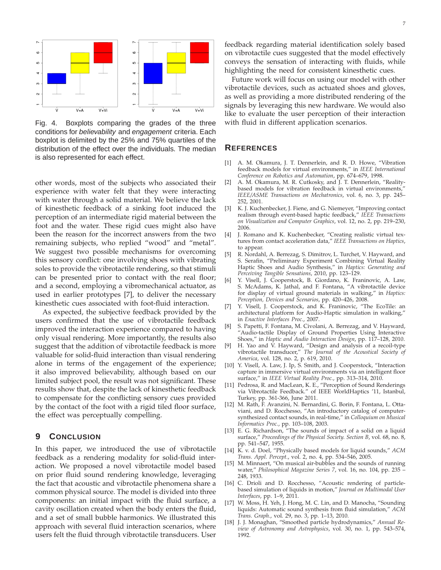

Fig. 4. Boxplots comparing the grades of the three conditions for believability and engagement criteria. Each boxplot is delimited by the 25% and 75% quartiles of the distribution of the effect over the individuals. The median is also represented for each effect.

other words, most of the subjects who associated their experience with water felt that they were interacting with water through a solid material. We believe the lack of kinesthetic feedback of a sinking foot induced the perception of an intermediate rigid material between the foot and the water. These rigid cues might also have been the reason for the incorrect answers from the two remaining subjects, who replied "wood" and "metal". We suggest two possible mechanisms for overcoming this sensory conflict: one involving shoes with vibrating soles to provide the vibrotactile rendering, so that stimuli can be presented prior to contact with the real floor; and a second, employing a vibromechanical actuator, as used in earlier prototypes [7], to deliver the necessary kinesthetic cues associated with foot-fluid interaction.

As expected, the subjective feedback provided by the users confirmed that the use of vibrotactile feedback improved the interaction experience compared to having only visual rendering. More importantly, the results also suggest that the addition of vibrotactile feedback is more valuable for solid-fluid interaction than visual rendering alone in terms of the engagement of the experience; it also improved believability, although based on our limited subject pool, the result was not significant. These results show that, despite the lack of kinesthetic feedback to compensate for the conflicting sensory cues provided by the contact of the foot with a rigid tiled floor surface, the effect was perceptually compelling.

## **9 CONCLUSION**

In this paper, we introduced the use of vibrotactile feedback as a rendering modality for solid-fluid interaction. We proposed a novel vibrotactile model based on prior fluid sound rendering knowledge, leveraging the fact that acoustic and vibrotactile phenomena share a common physical source. The model is divided into three components: an initial impact with the fluid surface, a cavity oscillation created when the body enters the fluid, and a set of small bubble harmonics. We illustrated this approach with several fluid interaction scenarios, where users felt the fluid through vibrotactile transducers. User

feedback regarding material identification solely based on vibrotactile cues suggested that the model effectively conveys the sensation of interacting with fluids, while highlighting the need for consistent kinesthetic cues.

Future work will focus on using our model with other vibrotactile devices, such as actuated shoes and gloves, as well as providing a more distributed rendering of the signals by leveraging this new hardware. We would also like to evaluate the user perception of their interaction with fluid in different application scenarios.

## **REFERENCES**

- [1] A. M. Okamura, J. T. Dennerlein, and R. D. Howe, "Vibration feedback models for virtual environments," in *IEEE International Conference on Robotics and Automation*, pp. 674–679, 1998.
- [2] A. M. Okamura, M. R. Cutkosky, and J. T. Dennerlein, "Realitybased models for vibration feedback in virtual environments," *IEEE/ASME Transactions on Mechatronics*, vol. 6, no. 3, pp. 245– 252, 2001.
- [3] K. J. Kuchenbecker, J. Fiene, and G. Niemeyer, "Improving contact realism through event-based haptic feedback," *IEEE Transactions on Visualization and Computer Graphics*, vol. 12, no. 2, pp. 219–230, 2006.
- [4] J. Romano and K. Kuchenbecker, "Creating realistic virtual textures from contact acceleration data," *IEEE Transactions on Haptics*, to appear.
- [5] R. Nordahl, A. Berrezag, S. Dimitrov, L. Turchet, V. Hayward, and S. Serafin, "Preliminary Experiment Combining Virtual Reality Haptic Shoes and Audio Synthesis," in *Haptics: Generating and Perceiving Tangible Sensations*, 2010, pp. 123–129.
- [6] Y. Visell, J. Cooperstock, B. Giordano, K. Franinovic, A. Law, S. McAdams, K. Jathal, and F. Fontana, "A vibrotactile device for display of virtual ground materials in walking," in *Haptics: Perception, Devices and Scenarios*, pp. 420–426, 2008.
- [7] Y. Visell, J. Cooperstock, and K. Franinovic, "The EcoTile: an architectural platform for Audio-Haptic simulation in walking," in *Enactive Interfaces Proc.*, 2007.
- [8] S. Papetti, F. Fontana, M. Civolani, A. Berrezag, and V. Hayward, "Audio-tactile Display of Ground Properties Using Interactive Shoes," in *Haptic and Audio Interaction Design*, pp. 117–128, 2010.
- [9] H. Yao and V. Hayward, "Design and analysis of a recoil-type vibrotactile transducer," *The Journal of the Acoustical Society of America*, vol. 128, no. 2, p. 619, 2010.
- [10] Y. Visell, A. Law, J. Ip, S. Smith, and J. Cooperstock, "Interaction capture in immersive virtual environments via an intelligent floor surface," in *IEEE Virtual Reality Proc.*, pp. 313–314, 2010.
- [11] Pedrosa, R. and MacLean, K. E., "Perception of Sound Renderings via Vibrotactile Feedback." of IEEE WorldHaptics '11, Istanbul, Turkey, pp. 361-366, June 2011.
- [12] M. Rath, F. Avanzini, N. Bernardini, G. Borin, F. Fontana, L. Ottaviani, and D. Rocchesso, "An introductory catalog of computersynthesized contact sounds, in real-time," in *Colloquium on Musical Informatics Proc.*, pp. 103–108, 2003.
- [13] E. G. Richardson, "The sounds of impact of a solid on a liquid surface," *Proceedings of the Physical Society. Section B*, vol. 68, no. 8, pp. 541–547, 1955.
- [14] K. v. d. Doel, "Physically based models for liquid sounds," *ACM Trans. Appl. Percept.*, vol. 2, no. 4, pp. 534–546, 2005.
- [15] M. Minnaert, "On musical air-bubbles and the sounds of running water," *Philosophical Magazine Series 7*, vol. 16, no. 104, pp. 235 – 248, 1933.
- [16] C. Drioli and D. Rocchesso, "Acoustic rendering of particlebased simulation of liquids in motion," *Journal on Multimodal User Interfaces*, pp. 1–9, 2011.
- [17] W. Moss, H. Yeh, J. Hong, M. C. Lin, and D. Manocha, "Sounding liquids: Automatic sound synthesis from fluid simulation," *ACM Trans. Graph.*, vol. 29, no. 3, pp. 1–13, 2010.
- [18] J. J. Monaghan, "Smoothed particle hydrodynamics," Annual Re*view of Astronomy and Astrophysics*, vol. 30, no. 1, pp. 543–574, 1992.